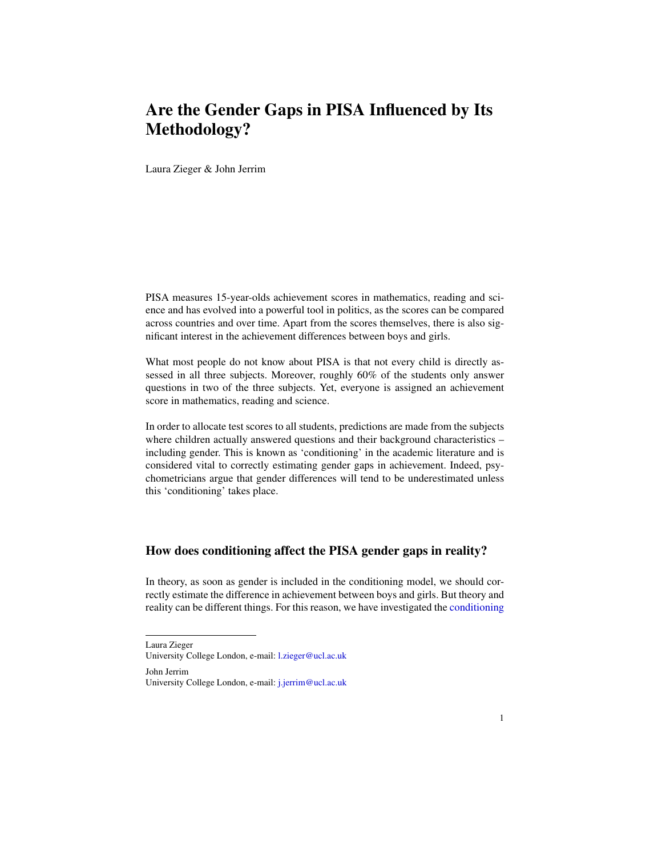## Are the Gender Gaps in PISA Influenced by Its Methodology?

Laura Zieger & John Jerrim

PISA measures 15-year-olds achievement scores in mathematics, reading and science and has evolved into a powerful tool in politics, as the scores can be compared across countries and over time. Apart from the scores themselves, there is also significant interest in the achievement differences between boys and girls.

What most people do not know about PISA is that not every child is directly assessed in all three subjects. Moreover, roughly 60% of the students only answer questions in two of the three subjects. Yet, everyone is assigned an achievement score in mathematics, reading and science.

In order to allocate test scores to all students, predictions are made from the subjects where children actually answered questions and their background characteristics including gender. This is known as 'conditioning' in the academic literature and is considered vital to correctly estimating gender gaps in achievement. Indeed, psychometricians argue that gender differences will tend to be underestimated unless this 'conditioning' takes place.

## How does conditioning affect the PISA gender gaps in reality?

In theory, as soon as gender is included in the conditioning model, we should correctly estimate the difference in achievement between boys and girls. But theory and reality can be different things. For this reason, we have investigated the [conditioning](https://repec-cepeo.ucl.ac.uk/cepeow/cepeowp20-09.pdf)

[Laura Zieger](https://repec-cepeo.ucl.ac.uk/cepeow/cepeowp20-09.pdf)

[University College London, e-mail:](https://repec-cepeo.ucl.ac.uk/cepeow/cepeowp20-09.pdf) <l.zieger@ucl.ac.uk>

[John Jerrim](https://repec-cepeo.ucl.ac.uk/cepeow/cepeowp20-09.pdf) [University College London, e-mail:](https://repec-cepeo.ucl.ac.uk/cepeow/cepeowp20-09.pdf) <j.jerrim@ucl.ac.uk>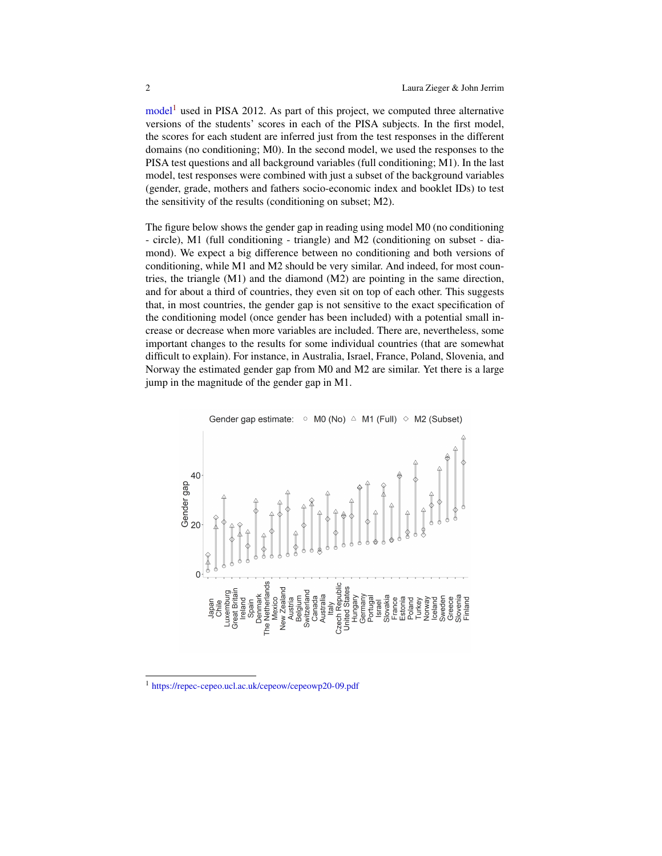$model<sup>1</sup>$  $model<sup>1</sup>$  $model<sup>1</sup>$  $model<sup>1</sup>$  used in PISA 2012. As part of this project, we computed three alternative versions of the students' scores in each of the PISA subjects. In the first model, the scores for each student are inferred just from the test responses in the different domains (no conditioning; M0). In the second model, we used the responses to the PISA test questions and all background variables (full conditioning; M1). In the last model, test responses were combined with just a subset of the background variables (gender, grade, mothers and fathers socio-economic index and booklet IDs) to test the sensitivity of the results (conditioning on subset; M2).

The figure below shows the gender gap in reading using model M0 (no conditioning - circle), M1 (full conditioning - triangle) and M2 (conditioning on subset - diamond). We expect a big difference between no conditioning and both versions of conditioning, while M1 and M2 should be very similar. And indeed, for most countries, the triangle  $(M1)$  and the diamond  $(M2)$  are pointing in the same direction, and for about a third of countries, they even sit on top of each other. This suggests that, in most countries, the gender gap is not sensitive to the exact specification of the conditioning model (once gender has been included) with a potential small increase or decrease when more variables are included. There are, nevertheless, some important changes to the results for some individual countries (that are somewhat difficult to explain). For instance, in Australia, Israel, France, Poland, Slovenia, and Norway the estimated gender gap from M0 and M2 are similar. Yet there is a large jump in the magnitude of the gender gap in M1.



Gender gap estimate:  $\circ$  M0 (No)  $\triangle$  M1 (Full)  $\circ$  M2 (Subset)

<span id="page-1-0"></span><sup>1</sup> <https://repec-cepeo.ucl.ac.uk/cepeow/cepeowp20-09.pdf>